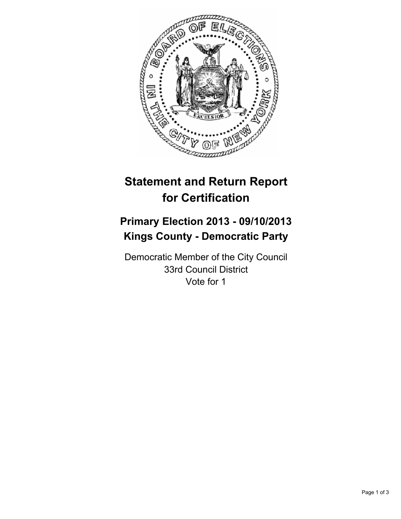

# **Statement and Return Report for Certification**

## **Primary Election 2013 - 09/10/2013 Kings County - Democratic Party**

Democratic Member of the City Council 33rd Council District Vote for 1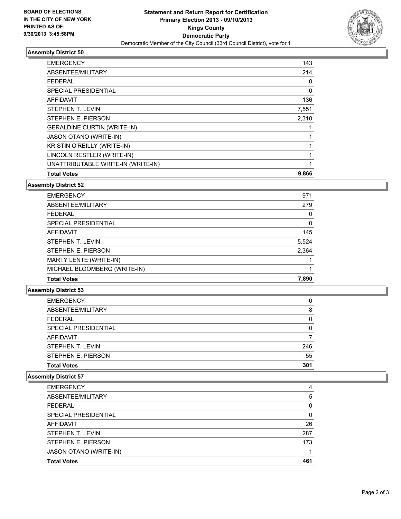

#### **Assembly District 50**

| 143      |
|----------|
| 214      |
| 0        |
| $\Omega$ |
| 136      |
| 7,551    |
| 2,310    |
|          |
|          |
|          |
|          |
|          |
| 9,866    |
|          |

#### **Assembly District 52**

| <b>EMERGENCY</b>             | 971   |
|------------------------------|-------|
| ABSENTEE/MILITARY            | 279   |
| <b>FEDERAL</b>               | 0     |
| SPECIAL PRESIDENTIAL         | 0     |
| <b>AFFIDAVIT</b>             | 145   |
| STEPHEN T. LEVIN             | 5,524 |
| STEPHEN E. PIERSON           | 2,364 |
| MARTY LENTE (WRITE-IN)       |       |
| MICHAEL BLOOMBERG (WRITE-IN) |       |
| <b>Total Votes</b>           | 7,890 |
|                              |       |

### **Assembly District 53**

| <b>EMERGENCY</b>     | 0        |
|----------------------|----------|
| ABSENTEE/MILITARY    | 8        |
| <b>FEDERAL</b>       | 0        |
| SPECIAL PRESIDENTIAL | $\Omega$ |
| <b>AFFIDAVIT</b>     |          |
| STEPHEN T. LEVIN     | 246      |
| STEPHEN E. PIERSON   | 55       |
| <b>Total Votes</b>   | 301      |

## **Assembly District 57**

| <b>EMERGENCY</b>       | 4        |
|------------------------|----------|
| ABSENTEE/MILITARY      | 5        |
| <b>FEDERAL</b>         | 0        |
| SPECIAL PRESIDENTIAL   | $\Omega$ |
| <b>AFFIDAVIT</b>       | 26       |
| STEPHEN T. LEVIN       | 287      |
| STEPHEN E. PIERSON     | 173      |
| JASON OTANO (WRITE-IN) |          |
| <b>Total Votes</b>     | 461      |
|                        |          |